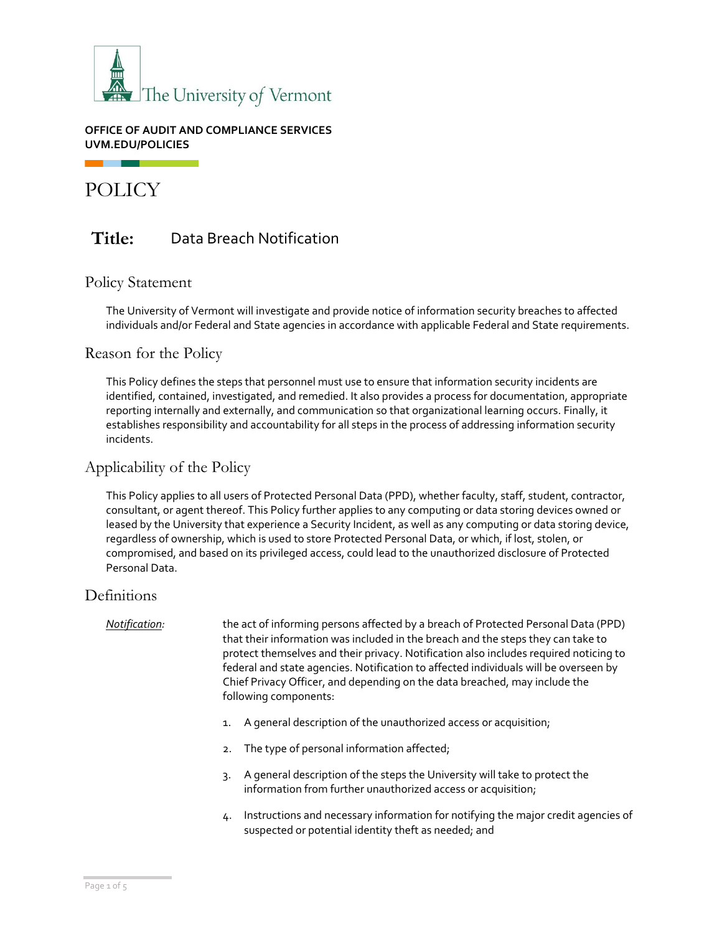

### **OFFICE OF AUDIT AND COMPLIANCE SERVICES UVM.EDU/POLICIES**

POLICY

# **Title:** Data Breach Notification

# Policy Statement

The University of Vermont will investigate and provide notice of information security breaches to affected individuals and/or Federal and State agencies in accordance with applicable Federal and State requirements.

# Reason for the Policy

This Policy defines the steps that personnel must use to ensure that information security incidents are identified, contained, investigated, and remedied. It also provides a process for documentation, appropriate reporting internally and externally, and communication so that organizational learning occurs. Finally, it establishes responsibility and accountability for all steps in the process of addressing information security incidents.

# Applicability of the Policy

This Policy applies to all users of Protected Personal Data (PPD), whether faculty, staff, student, contractor, consultant, or agent thereof. This Policy further applies to any computing or data storing devices owned or leased by the University that experience a Security Incident, as well as any computing or data storing device, regardless of ownership, which is used to store Protected Personal Data, or which, if lost, stolen, or compromised, and based on its privileged access, could lead to the unauthorized disclosure of Protected Personal Data.

# **Definitions**

*Notification:* the act of informing persons affected by a breach of Protected Personal Data (PPD) that their information was included in the breach and the steps they can take to protect themselves and their privacy. Notification also includes required noticing to federal and state agencies. Notification to affected individuals will be overseen by Chief Privacy Officer, and depending on the data breached, may include the following components:

- 1. A general description of the unauthorized access or acquisition;
- 2. The type of personal information affected;
- 3. A general description of the steps the University will take to protect the information from further unauthorized access or acquisition;
- 4. Instructions and necessary information for notifying the major credit agencies of suspected or potential identity theft as needed; and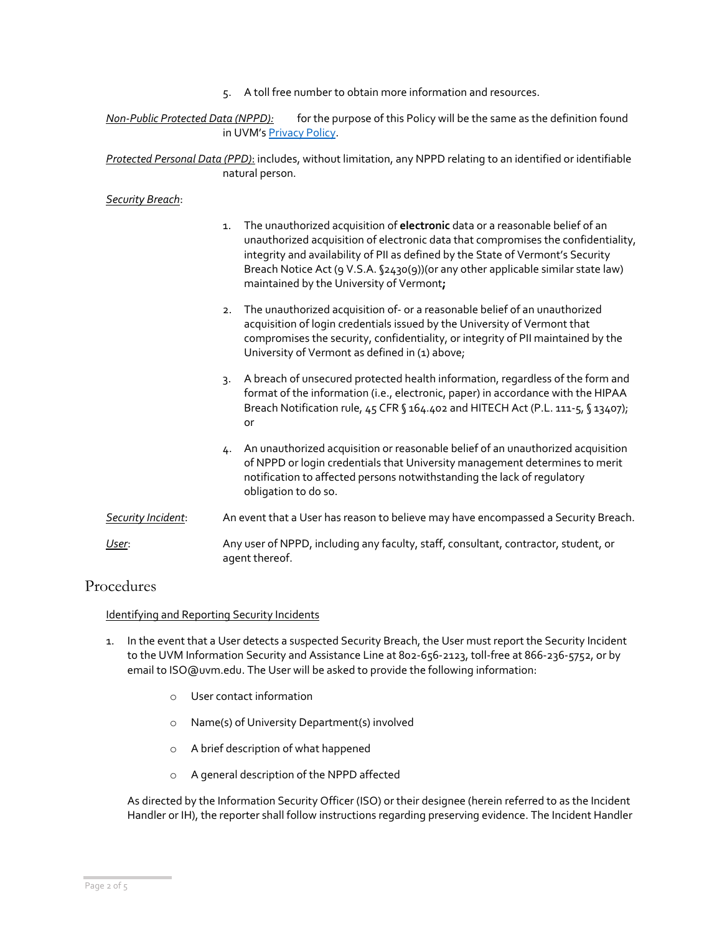5. A toll free number to obtain more information and resources.

*Non-Public Protected Data (NPPD):* for the purpose of this Policy will be the same as the definition found in UVM's [Privacy Policy.](https://www.uvm.edu/sites/default/files/UVM-Policies/policies/privacy.pdf)

*Protected Personal Data (PPD)*: includes, without limitation, any NPPD relating to an identified or identifiable natural person.

#### *Security Breach*:

- 1. The unauthorized acquisition of **electronic** data or a reasonable belief of an unauthorized acquisition of electronic data that compromises the confidentiality, integrity and availability of PII as defined by the State of Vermont's Security Breach Notice Act (9 V.S.A. §2430(9))(or any other applicable similar state law) maintained by the University of Vermont**;**
- 2. The unauthorized acquisition of- or a reasonable belief of an unauthorized acquisition of login credentials issued by the University of Vermont that compromises the security, confidentiality, or integrity of PII maintained by the University of Vermont as defined in (1) above;
- 3. A breach of unsecured protected health information, regardless of the form and format of the information (i.e., electronic, paper) in accordance with the HIPAA Breach Notification rule, 45 CFR § 164.402 and HITECH Act (P.L. 111-5, § 13407); or
- 4. An unauthorized acquisition or reasonable belief of an unauthorized acquisition of NPPD or login credentials that University management determines to merit notification to affected persons notwithstanding the lack of regulatory obligation to do so.
- *Security Incident*: An event that a User has reason to believe may have encompassed a Security Breach.
- *User*: Any user of NPPD, including any faculty, staff, consultant, contractor, student, or agent thereof.

# Procedures

#### Identifying and Reporting Security Incidents

- 1. In the event that a User detects a suspected Security Breach, the User must report the Security Incident to the UVM Information Security and Assistance Line at 802-656-2123, toll-free at 866-236-5752, or by email to ISO@uvm.edu. The User will be asked to provide the following information:
	- o User contact information
	- o Name(s) of University Department(s) involved
	- o A brief description of what happened
	- o A general description of the NPPD affected

As directed by the Information Security Officer (ISO) or their designee (herein referred to as the Incident Handler or IH), the reporter shall follow instructions regarding preserving evidence. The Incident Handler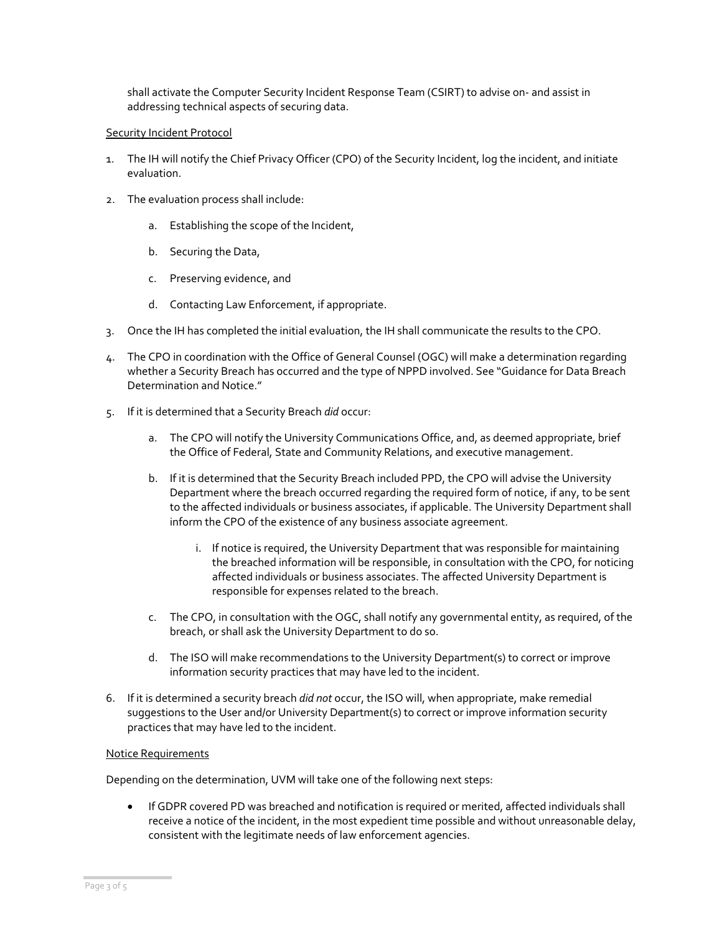shall activate the Computer Security Incident Response Team (CSIRT) to advise on- and assist in addressing technical aspects of securing data.

#### Security Incident Protocol

- 1. The IH will notify the Chief Privacy Officer (CPO) of the Security Incident, log the incident, and initiate evaluation.
- 2. The evaluation process shall include:
	- a. Establishing the scope of the Incident,
	- b. Securing the Data,
	- c. Preserving evidence, and
	- d. Contacting Law Enforcement, if appropriate.
- 3. Once the IH has completed the initial evaluation, the IH shall communicate the results to the CPO.
- 4. The CPO in coordination with the Office of General Counsel (OGC) will make a determination regarding whether a Security Breach has occurred and the type of NPPD involved. See "Guidance for Data Breach Determination and Notice."
- 5. If it is determined that a Security Breach *did* occur:
	- a. The CPO will notify the University Communications Office, and, as deemed appropriate, brief the Office of Federal, State and Community Relations, and executive management.
	- b. If it is determined that the Security Breach included PPD, the CPO will advise the University Department where the breach occurred regarding the required form of notice, if any, to be sent to the affected individuals or business associates, if applicable. The University Department shall inform the CPO of the existence of any business associate agreement.
		- i. If notice is required, the University Department that was responsible for maintaining the breached information will be responsible, in consultation with the CPO, for noticing affected individuals or business associates. The affected University Department is responsible for expenses related to the breach.
	- c. The CPO, in consultation with the OGC, shall notify any governmental entity, as required, of the breach, or shall ask the University Department to do so.
	- d. The ISO will make recommendations to the University Department(s) to correct or improve information security practices that may have led to the incident.
- 6. If it is determined a security breach *did not* occur, the ISO will, when appropriate, make remedial suggestions to the User and/or University Department(s) to correct or improve information security practices that may have led to the incident.

#### Notice Requirements

Depending on the determination, UVM will take one of the following next steps:

• If GDPR covered PD was breached and notification is required or merited, affected individuals shall receive a notice of the incident, in the most expedient time possible and without unreasonable delay, consistent with the legitimate needs of law enforcement agencies.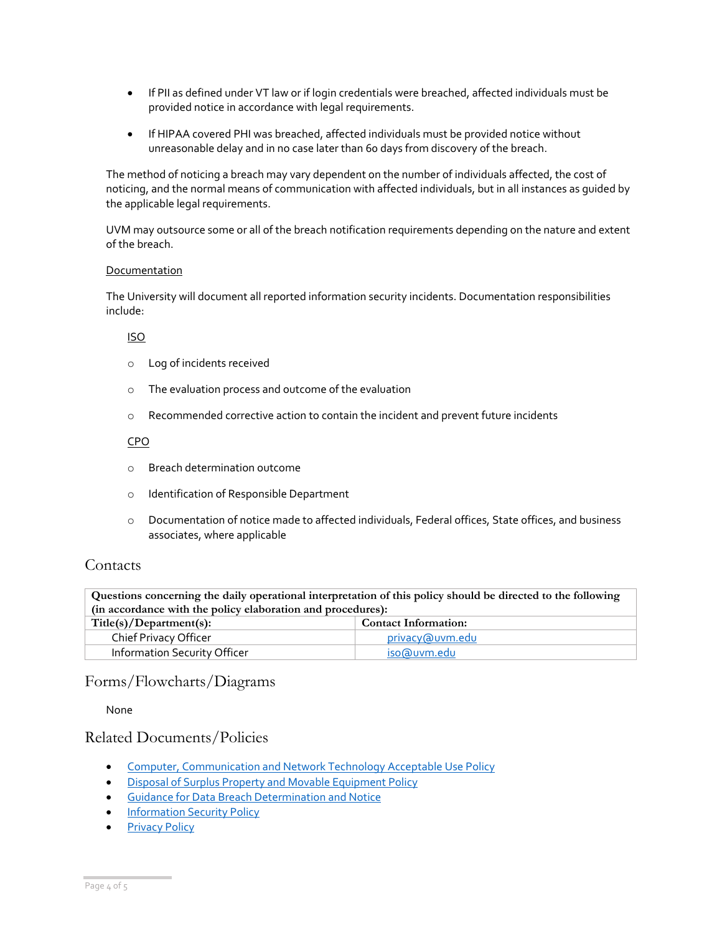- If PII as defined under VT law or if login credentials were breached, affected individuals must be provided notice in accordance with legal requirements.
- If HIPAA covered PHI was breached, affected individuals must be provided notice without unreasonable delay and in no case later than 60 days from discovery of the breach.

The method of noticing a breach may vary dependent on the number of individuals affected, the cost of noticing, and the normal means of communication with affected individuals, but in all instances as guided by the applicable legal requirements.

UVM may outsource some or all of the breach notification requirements depending on the nature and extent of the breach.

#### Documentation

The University will document all reported information security incidents. Documentation responsibilities include:

#### ISO

- o Log of incidents received
- o The evaluation process and outcome of the evaluation
- o Recommended corrective action to contain the incident and prevent future incidents

### CPO

- o Breach determination outcome
- o Identification of Responsible Department
- o Documentation of notice made to affected individuals, Federal offices, State offices, and business associates, where applicable

# Contacts

**Questions concerning the daily operational interpretation of this policy should be directed to the following (in accordance with the policy elaboration and procedures):**

| Title(s)/Department(s):      | <b>Contact Information:</b> |  |
|------------------------------|-----------------------------|--|
| Chief Privacy Officer        | privacy@uym.edu             |  |
| Information Security Officer | iso@uvm.edu                 |  |

# Forms/Flowcharts/Diagrams

None

# Related Documents/Policies

- [Computer, Communication and Network Technology Acceptable Use Policy](https://www.uvm.edu/sites/default/files/UVM-Policies/policies/compuse.pdf)
- [Disposal of Surplus Property and Movable Equipment Policy](https://www.uvm.edu/sites/default/files/UVM-Policies/policies/surplusdisposal.pdf)
- [Guidance for Data Breach Determination and Notice](http://www.uvm.edu/sites/default/files/media/databreach_guide.pdf)
- [Information Security Policy](https://www.uvm.edu/sites/default/files/UVM-Policies/policies/infosecurity.pdf)
- [Privacy Policy](https://www.uvm.edu/sites/default/files/UVM-Policies/policies/privacy.pdf)